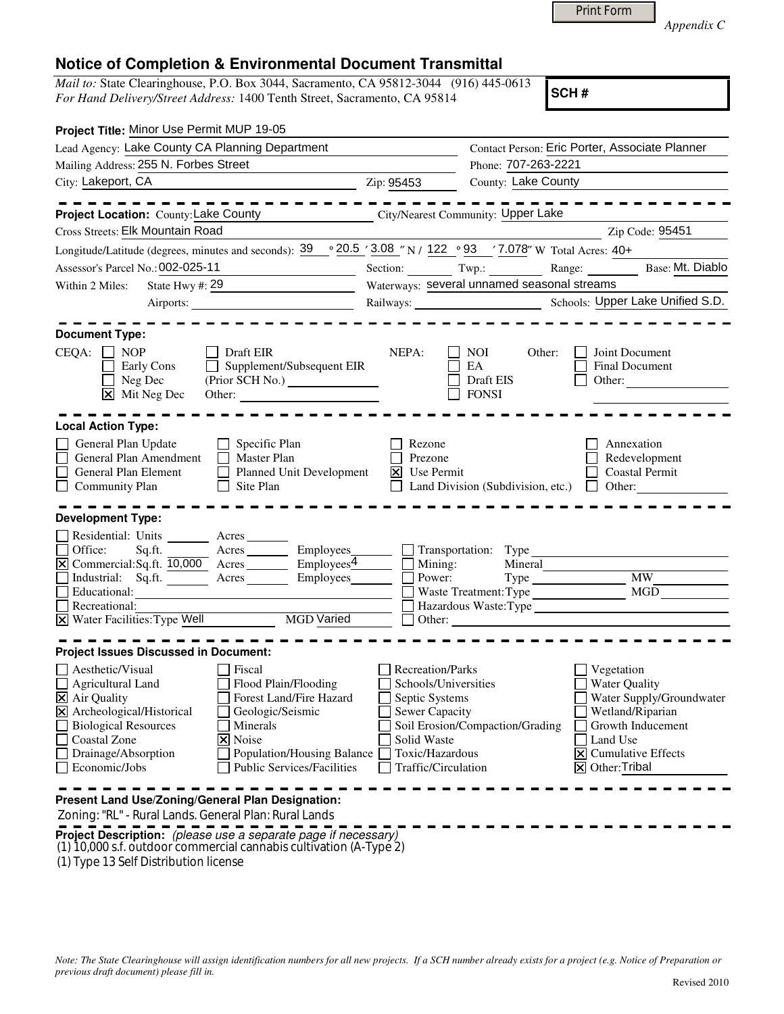| Print Form |  |
|------------|--|
|------------|--|

*Appendix C* 

## **Notice of Completion & Environmental Document Transmittal**

*Mail to:* State Clearinghouse, P.O. Box 3044, Sacramento, CA 95812-3044 (916) 445-0613 *For Hand Delivery/Street Address:* 1400 Tenth Street, Sacramento, CA 95814

**SCH #**

| Project Title: Minor Use Permit MUP 19-05                                                                                                                                                    |                                     |                                                                  |                                                                                                         |
|----------------------------------------------------------------------------------------------------------------------------------------------------------------------------------------------|-------------------------------------|------------------------------------------------------------------|---------------------------------------------------------------------------------------------------------|
| Lead Agency: Lake County CA Planning Department                                                                                                                                              |                                     |                                                                  | Contact Person: Eric Porter, Associate Planner                                                          |
| Mailing Address: 255 N. Forbes Street                                                                                                                                                        |                                     | Phone: 707-263-2221                                              |                                                                                                         |
| City: Lakeport, CA                                                                                                                                                                           | Zip: 95453                          | County: Lake County                                              |                                                                                                         |
| - - - - - - - - -                                                                                                                                                                            |                                     |                                                                  | ---------                                                                                               |
| Project Location: County: Lake County                                                                                                                                                        |                                     | City/Nearest Community: Upper Lake                               |                                                                                                         |
| Cross Streets: Elk Mountain Road                                                                                                                                                             |                                     |                                                                  | Zip Code: 95451                                                                                         |
| Longitude/Latitude (degrees, minutes and seconds): $39 \cdot 20.5$ / $3.08$ // N / $122 \cdot 93$ / 7.078 <sup>2</sup> W Total Acres: 40+                                                    |                                     |                                                                  |                                                                                                         |
| Assessor's Parcel No.: 002-025-11                                                                                                                                                            |                                     |                                                                  | Section: Twp.: Twp.: Range: Base: Mt. Diablo                                                            |
| State Hwy #: $29$<br>Within 2 Miles:                                                                                                                                                         |                                     | Waterways: several unnamed seasonal streams                      |                                                                                                         |
|                                                                                                                                                                                              |                                     |                                                                  | Railways: Schools: Upper Lake Unified S.D.                                                              |
|                                                                                                                                                                                              |                                     |                                                                  |                                                                                                         |
| <b>Document Type:</b>                                                                                                                                                                        |                                     |                                                                  |                                                                                                         |
| $CEQA: \Box NOP$<br>$\Box$ Draft EIR<br>$\Box$ Supplement/Subsequent EIR<br>$\Box$ Early Cons<br>$\Box$ Neg Dec<br>(Prior SCH No.)<br>$\boxed{\mathsf{x}}$ Mit Neg Dec<br>Other:             | NEPA:                               | $\vert$ $\vert$ NOI<br>Other:<br>EA<br>Draft EIS<br><b>FONSI</b> | Joint Document<br>Final Document<br>Other:                                                              |
| <b>Local Action Type:</b>                                                                                                                                                                    |                                     |                                                                  |                                                                                                         |
| General Plan Update<br>$\Box$ Specific Plan<br>$\Box$ Master Plan<br>General Plan Amendment<br>Planned Unit Development<br>General Plan Element<br>$\Box$ Community Plan<br>$\Box$ Site Plan | Rezone<br>Prezone<br>$X$ Use Permit |                                                                  | Annexation<br>Redevelopment<br><b>Coastal Permit</b><br>Land Division (Subdivision, etc.) $\Box$ Other: |
| <b>Development Type:</b>                                                                                                                                                                     |                                     |                                                                  |                                                                                                         |
| Residential: Units ________ Acres _______                                                                                                                                                    |                                     |                                                                  |                                                                                                         |
| Sq.ft. Acres Employees Transportation: Type<br>Office:                                                                                                                                       |                                     |                                                                  |                                                                                                         |
| $\boxtimes$ Commercial:Sq.ft. $\overline{10,000}$ Acres Employees Employees Mining:                                                                                                          |                                     | Mineral                                                          |                                                                                                         |
| Industrial: Sq.ft. Acres Employees                                                                                                                                                           |                                     | Power: Type MW                                                   |                                                                                                         |
| Educational:                                                                                                                                                                                 |                                     |                                                                  |                                                                                                         |
| Recreational:                                                                                                                                                                                |                                     |                                                                  | Hazardous Waste:Type                                                                                    |
| X Water Facilities: Type Well MGD Varied                                                                                                                                                     |                                     |                                                                  |                                                                                                         |
| <b>Project Issues Discussed in Document:</b>                                                                                                                                                 |                                     |                                                                  |                                                                                                         |
| $\Box$ Aesthetic/Visual<br>Fiscal                                                                                                                                                            | <b>Recreation/Parks</b>             |                                                                  | Vegetation                                                                                              |
| Flood Plain/Flooding<br>$\Box$ Agricultural Land                                                                                                                                             | Schools/Universities                |                                                                  | Water Quality                                                                                           |
| Forest Land/Fire Hazard<br>$\overline{\mathbf{X}}$ Air Quality                                                                                                                               | $\Box$ Septic Systems               |                                                                  | Water Supply/Groundwater                                                                                |
| X Archeological/Historical<br>Geologic/Seismic                                                                                                                                               | Sewer Capacity                      |                                                                  | Wetland/Riparian                                                                                        |
| <b>Biological Resources</b><br>Minerals                                                                                                                                                      |                                     | Soil Erosion/Compaction/Grading                                  | Growth Inducement                                                                                       |
| Coastal Zone<br><b>X</b> Noise                                                                                                                                                               | Solid Waste<br>Toxic/Hazardous      |                                                                  | Land Use<br>$\boxed{\mathsf{X}}$ Cumulative Effects                                                     |
| Drainage/Absorption<br>Population/Housing Balance<br>Economic/Jobs<br><b>Public Services/Facilities</b>                                                                                      | Traffic/Circulation                 |                                                                  | $\overline{X}$ Other: Tribal                                                                            |
|                                                                                                                                                                                              |                                     |                                                                  |                                                                                                         |
| Present Land Use/Zoning/General Plan Designation:                                                                                                                                            |                                     |                                                                  |                                                                                                         |
| Zoning: "RL" - Rural Lands. General Plan: Rural Lands                                                                                                                                        |                                     |                                                                  |                                                                                                         |
| Project Description: (please use a separate page if necessary)                                                                                                                               |                                     |                                                                  |                                                                                                         |

(1) 10,000 s.f. outdoor commercial cannabis cultivation (A-Type 2)

(1) Type 13 Self Distribution license